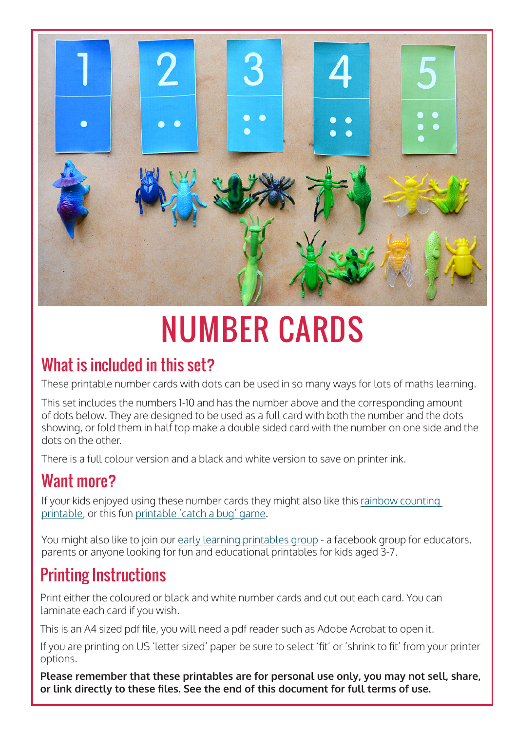

## NUMBER CARDS

#### What is included in this set?

These printable number cards with dots can be used in so many ways for lots of maths learning.

This set includes the numbers 1-10 and has the number above and the corresponding amount of dots below. They are designed to be used as a full card with both the number and the dots showing, or fold them in half top make a double sided card with the number on one side and the dots on the other.

There is a full colour version and a black and white version to save on printer ink.

#### Want more?

If your kids enjoyed using these number cards they might also like this [rainbow counting](https://picklebums.com/rainbow-counting-game/)  [printable](https://picklebums.com/rainbow-counting-game/), or this fun [printable 'catch a bug' game.](https://picklebums.com/catch-a-bug-free-printable-game/)

You might also like to join our [early learning printables group](https://www.facebook.com/groups/earlylearningprintables) - a facebook group for educators, parents or anyone looking for fun and educational printables for kids aged 3-7.

### Printing Instructions

Print either the coloured or black and white number cards and cut out each card. You can laminate each card if you wish.

This is an A4 sized pdf file, you will need a pdf reader such as Adobe Acrobat to open it.

If you are printing on US 'letter sized' paper be sure to select 'fit' or 'shrink to fit' from your printer options.

**Please remember that these printables are for personal use only, you may not sell, share, or link directly to these files. See the end of this document for full terms of use.**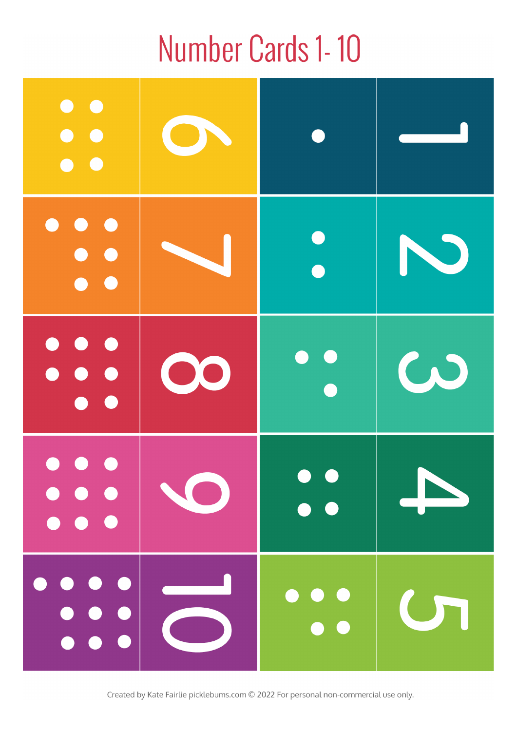### Number Cards 1-10

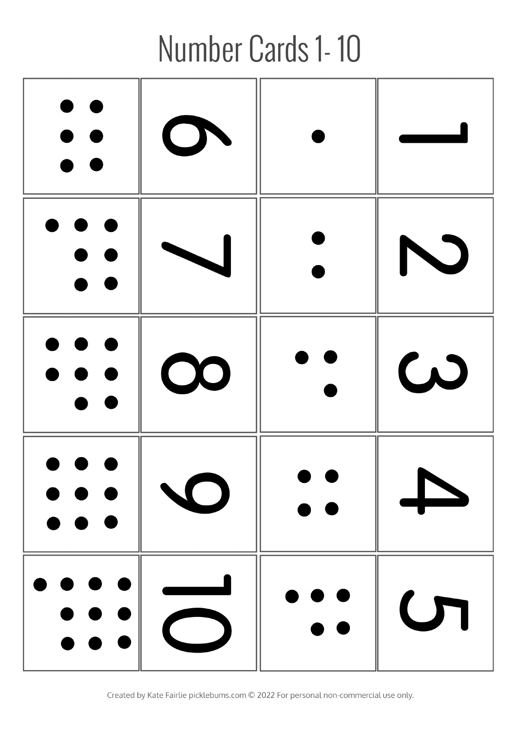# Number Cards 1-10